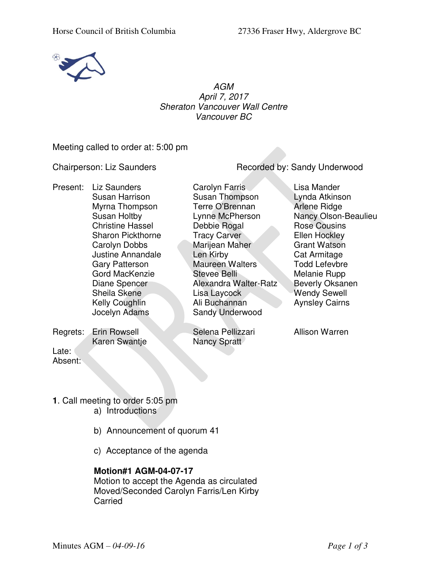

AGM April 7, 2017 Sheraton Vancouver Wall Centre Vancouver BC

Meeting called to order at: 5:00 pm

Chairperson: Liz Saunders **Recorded by: Sandy Underwood** 

| Present: | <b>Liz Saunders</b><br><b>Susan Harrison</b><br>Myrna Thompson<br><b>Susan Holtby</b><br><b>Christine Hassel</b><br><b>Sharon Pickthorne</b><br>Carolyn Dobbs<br><b>Justine Annandale</b><br><b>Gary Patterson</b><br>Gord MacKenzie<br><b>Diane Spencer</b><br><b>Sheila Skene</b><br>Kelly Coughlin<br>Jocelyn Adams | Carolyn Farris<br>Susan Thompson<br>Terre O'Brennan<br>Lynne McPherson<br>Debbie Rogal<br><b>Tracy Carver</b><br>Marijean Maher<br>Len Kirby<br><b>Maureen Walters</b><br><b>Stevee Belli</b><br>Alexandra Walter-Ratz<br>Lisa Laycock<br>Ali Buchannan<br>Sandy Underwood | Lisa Mander<br>Lynda Atkinson<br>Arlene Ridge<br>Nancy Olson-B<br><b>Rose Cousins</b><br>Ellen Hockley<br><b>Grant Watson</b><br>Cat Armitage<br><b>Todd Lefevbre</b><br>Melanie Rupp<br><b>Beverly Oksane</b><br>Wendy Sewell<br><b>Aynsley Cairns</b> |
|----------|------------------------------------------------------------------------------------------------------------------------------------------------------------------------------------------------------------------------------------------------------------------------------------------------------------------------|----------------------------------------------------------------------------------------------------------------------------------------------------------------------------------------------------------------------------------------------------------------------------|---------------------------------------------------------------------------------------------------------------------------------------------------------------------------------------------------------------------------------------------------------|
| Regrets: | <b>Erin Rowsell</b>                                                                                                                                                                                                                                                                                                    | Selena Pellizzari                                                                                                                                                                                                                                                          | <b>Allison Warren</b>                                                                                                                                                                                                                                   |
| Late:    | Karen Swantje                                                                                                                                                                                                                                                                                                          | Nancy Spratt                                                                                                                                                                                                                                                               |                                                                                                                                                                                                                                                         |

Absent:

- **1**. Call meeting to order 5:05 pm
	- a) Introductions
	- b) Announcement of quorum 41
	- c) Acceptance of the agenda

## **Motion#1 AGM-04-07-17**

Motion to accept the Agenda as circulated Moved/Seconded Carolyn Farris/Len Kirby Carried

**Atkinson Olson-Beaulieu** łockley efevbre y Oksanen y Cairns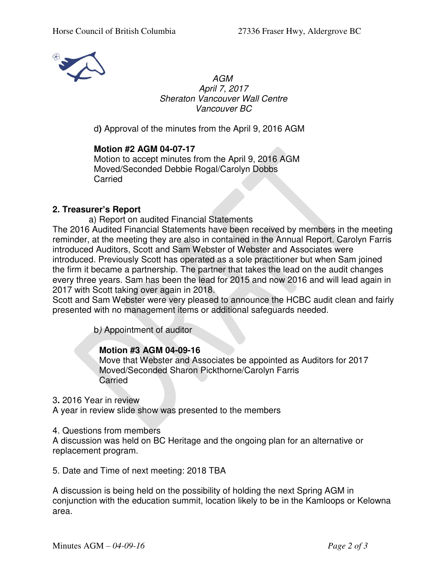

## AGM April 7, 2017 Sheraton Vancouver Wall Centre Vancouver BC

d**)** Approval of the minutes from the April 9, 2016 AGM

## **Motion #2 AGM 04-07-17**

Motion to accept minutes from the April 9, 2016 AGM Moved/Seconded Debbie Rogal/Carolyn Dobbs **Carried** 

## **2. Treasurer's Report**

a) Report on audited Financial Statements

The 2016 Audited Financial Statements have been received by members in the meeting reminder, at the meeting they are also in contained in the Annual Report. Carolyn Farris introduced Auditors, Scott and Sam Webster of Webster and Associates were introduced. Previously Scott has operated as a sole practitioner but when Sam joined the firm it became a partnership. The partner that takes the lead on the audit changes every three years. Sam has been the lead for 2015 and now 2016 and will lead again in 2017 with Scott taking over again in 2018.

Scott and Sam Webster were very pleased to announce the HCBC audit clean and fairly presented with no management items or additional safeguards needed.

b) Appointment of auditor

## **Motion #3 AGM 04-09-16**

Move that Webster and Associates be appointed as Auditors for 2017 Moved/Seconded Sharon Pickthorne/Carolyn Farris **Carried** 

3**.** 2016 Year in review

A year in review slide show was presented to the members

4. Questions from members

A discussion was held on BC Heritage and the ongoing plan for an alternative or replacement program.

5. Date and Time of next meeting: 2018 TBA

A discussion is being held on the possibility of holding the next Spring AGM in conjunction with the education summit, location likely to be in the Kamloops or Kelowna area.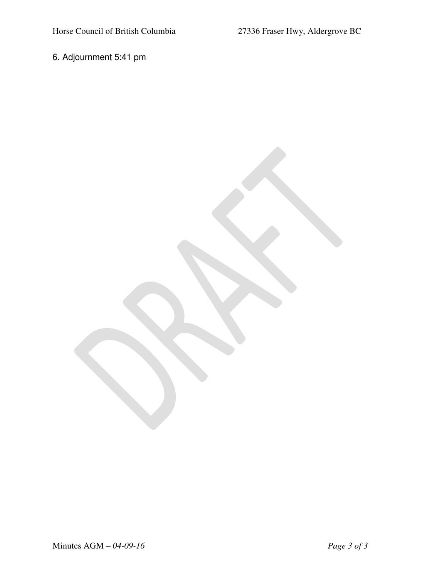6. Adjournment 5:41 pm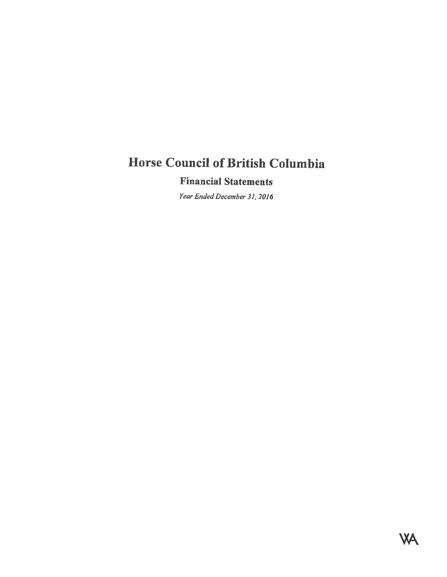## **Financial Statements**

Year Ended December 31, 2016

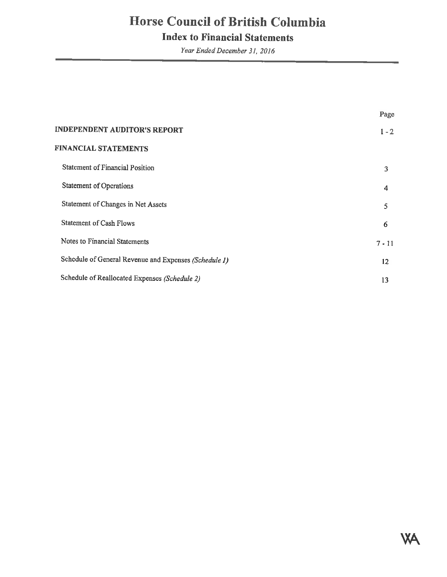## **Index to Financial Statements**

Year Ended December 31, 2016

|                                                       | Page             |
|-------------------------------------------------------|------------------|
| <b>INDEPENDENT AUDITOR'S REPORT</b>                   | $1 - 2$          |
| <b>FINANCIAL STATEMENTS</b>                           |                  |
| <b>Statement of Financial Position</b>                | 3                |
| <b>Statement of Operations</b>                        | $\boldsymbol{4}$ |
| Statement of Changes in Net Assets                    | 5                |
| <b>Statement of Cash Flows</b>                        | 6                |
| Notes to Financial Statements                         | $7 - 11$         |
| Schedule of General Revenue and Expenses (Schedule 1) | 12 <sup>2</sup>  |
| Schedule of Reallocated Expenses (Schedule 2)         | 13               |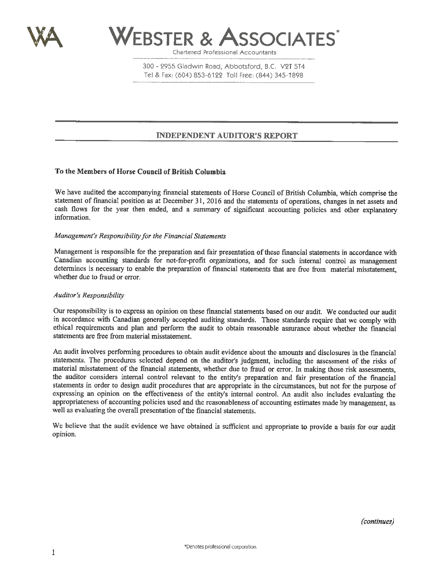



Chartered Professional Accountants

300 - 2955 Gladwin Road, Abbotsford, B.C. V2T 5T4 Tel & Fax: (604) 853-6122 Toll Free: (844) 345-1898

## **INDEPENDENT AUDITOR'S REPORT**

### To the Members of Horse Council of British Columbia

We have audited the accompanying financial statements of Horse Council of British Columbia, which comprise the statement of financial position as at December 31, 2016 and the statements of operations, changes in net assets and cash flows for the year then ended, and a summary of significant accounting policies and other explanatory information.

### Management's Responsibility for the Financial Statements

Management is responsible for the preparation and fair presentation of these financial statements in accordance with Canadian accounting standards for not-for-profit organizations, and for such internal control as management determines is necessary to enable the preparation of financial statements that are free from material misstatement, whether due to fraud or error.

### **Auditor's Responsibility**

Our responsibility is to express an opinion on these financial statements based on our audit. We conducted our audit in accordance with Canadian generally accepted auditing standards. Those standards require that we comply with ethical requirements and plan and perform the audit to obtain reasonable assurance about whether the financial statements are free from material misstatement.

An audit involves performing procedures to obtain audit evidence about the amounts and disclosures in the financial statements. The procedures selected depend on the auditor's judgment, including the assessment of the risks of material misstatement of the financial statements, whether due to fraud or error. In making those risk assessments, the auditor considers internal control relevant to the entity's preparation and fair presentation of the financial statements in order to design audit procedures that are appropriate in the circumstances, but not for the purpose of expressing an opinion on the effectiveness of the entity's internal control. An audit also includes evaluating the appropriateness of accounting policies used and the reasonableness of accounting estimates made by management, as well as evaluating the overall presentation of the financial statements.

We believe that the audit evidence we have obtained is sufficient and appropriate to provide a basis for our audit opinion.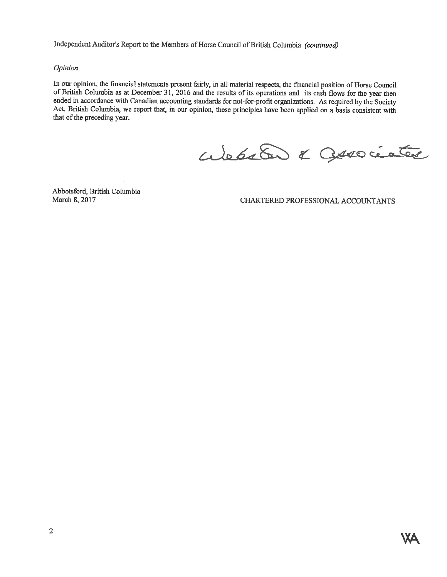Independent Auditor's Report to the Members of Horse Council of British Columbia (continued)

## Opinion

In our opinion, the financial statements present fairly, in all material respects, the financial position of Horse Council of British Columbia as at December 31, 2016 and the results of its operations and its cash flows for the year then ended in accordance with Canadian accounting standards for not-for-profit organizations. As required by the Society Act, British Columbia, we report that, in our opinion, these principles have been applied on a basis consistent with that of the preceding year.

Webson & grociates

Abbotsford, British Columbia March 8, 2017

CHARTERED PROFESSIONAL ACCOUNTANTS

**VXA**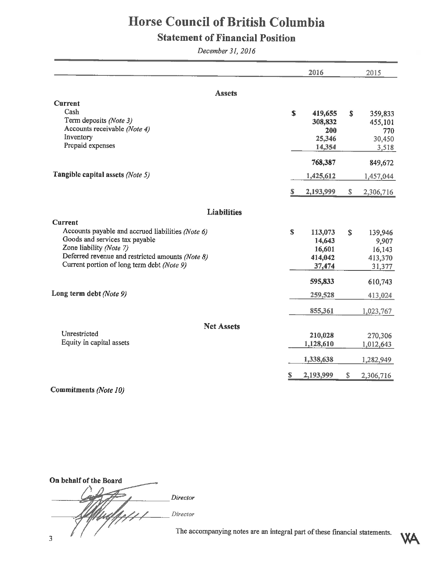## **Statement of Financial Position**

December 31, 2016

|                                                                                                                                                                                                                     |              | 2016                                             | 2015                                                  |
|---------------------------------------------------------------------------------------------------------------------------------------------------------------------------------------------------------------------|--------------|--------------------------------------------------|-------------------------------------------------------|
| <b>Assets</b>                                                                                                                                                                                                       |              |                                                  |                                                       |
| <b>Current</b>                                                                                                                                                                                                      |              |                                                  |                                                       |
| Cash<br>Term deposits (Note 3)<br>Accounts receivable (Note 4)                                                                                                                                                      | $\mathbb{S}$ | 419,655<br>308,832<br>200                        | \$<br>359,833<br>455,101<br>770                       |
| Inventory<br>Prepaid expenses                                                                                                                                                                                       |              | 25,346<br>14,354                                 | 30,450<br>3,518                                       |
|                                                                                                                                                                                                                     |              | 768,387                                          | 849,672                                               |
| Tangible capital assets (Note 5)                                                                                                                                                                                    |              | 1,425,612                                        | 1,457,044                                             |
|                                                                                                                                                                                                                     | S            | 2,193,999                                        | \$<br>2,306,716                                       |
| <b>Liabilities</b>                                                                                                                                                                                                  |              |                                                  |                                                       |
| <b>Current</b>                                                                                                                                                                                                      |              |                                                  |                                                       |
| Accounts payable and accrued liabilities (Note 6)<br>Goods and services tax payable<br>Zone liability (Note 7)<br>Deferred revenue and restricted amounts (Note $8$ )<br>Current portion of long term debt (Note 9) | \$           | 113,073<br>14,643<br>16,601<br>414,042<br>37,474 | \$<br>139,946<br>9,907<br>16,143<br>413,370<br>31,377 |
|                                                                                                                                                                                                                     |              | 595,833                                          | 610,743                                               |
| Long term debt (Note 9)                                                                                                                                                                                             |              | 259,528                                          | 413,024                                               |
|                                                                                                                                                                                                                     |              | 855,361                                          | 1,023,767                                             |
| <b>Net Assets</b>                                                                                                                                                                                                   |              |                                                  |                                                       |
| Unrestricted<br>Equity in capital assets                                                                                                                                                                            |              | 210,028<br>1,128,610                             | 270,306<br>1,012,643                                  |
|                                                                                                                                                                                                                     |              | 1,338,638                                        | 1,282,949                                             |
|                                                                                                                                                                                                                     | S            | 2,193,999                                        | \$<br>2,306,716                                       |

Commitments (Note 10)

On behalf of the Board Director  $\overline{\phantom{a}}$ k. Director

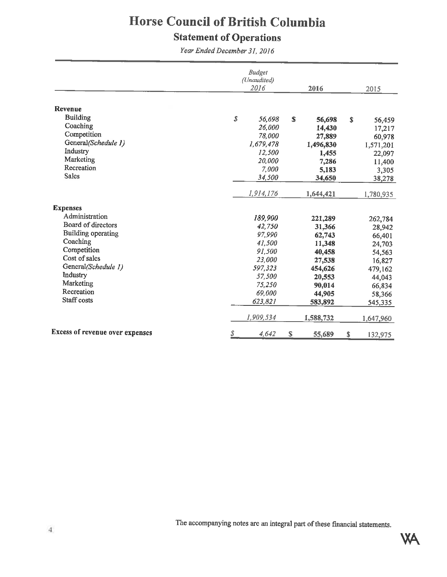## **Statement of Operations**

Year Ended December 31, 2016

|                                        | <b>Budget</b><br>(Unaudited)<br>2016 |    | 2016      | 2015          |
|----------------------------------------|--------------------------------------|----|-----------|---------------|
| Revenue                                |                                      |    |           |               |
| <b>Building</b>                        | $\mathcal S$<br>56,698               | S  | 56,698    | \$<br>56,459  |
| Coaching                               | 26,000                               |    | 14,430    | 17,217        |
| Competition                            | 78,000                               |    | 27,889    | 60,978        |
| General(Schedule 1)                    | 1,679,478                            |    | 1,496,830 | 1,571,201     |
| Industry                               | 12,500                               |    | 1,455     | 22,097        |
| Marketing                              | 20,000                               |    | 7,286     | 11,400        |
| Recreation                             | 7,000                                |    | 5,183     | 3,305         |
| <b>Sales</b>                           | 34,500                               |    | 34,650    | 38,278        |
|                                        | 1,914,176                            |    | 1,644,421 | 1,780,935     |
| <b>Expenses</b>                        |                                      |    |           |               |
| Administration                         | 189,900                              |    | 221,289   | 262,784       |
| Board of directors                     | 42,750                               |    | 31,366    | 28,942        |
| Building operating                     | 97,990                               |    | 62,743    | 66,401        |
| Coaching                               | 41,500                               |    | 11,348    | 24,703        |
| Competition                            | 91,500                               |    | 40,458    | 54,563        |
| Cost of sales                          | 23,000                               |    | 27,538    | 16,827        |
| General(Schedule 1)                    | 597,323                              |    | 454,626   | 479,162       |
| Industry                               | 57,500                               |    | 20,553    | 44,043        |
| Marketing                              | 75,250                               |    | 90,014    | 66,834        |
| Recreation                             | 69,000                               |    | 44,905    | 58,366        |
| Staff costs                            | 623,821                              |    | 583,892   | 545,335       |
|                                        | 1,909,534                            |    | 1,588,732 | 1,647,960     |
| <b>Excess of revenue over expenses</b> | \$<br>4,642                          | \$ | 55,689    | \$<br>132,975 |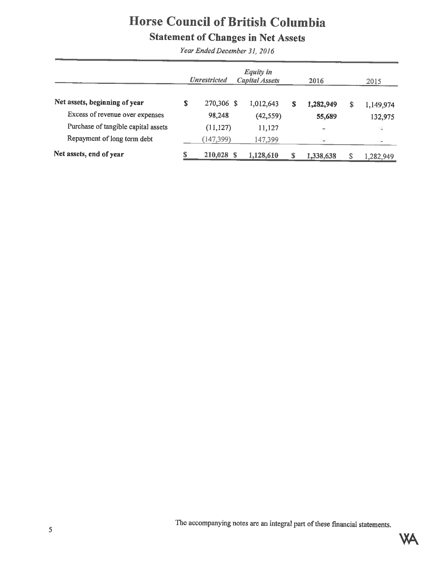## **Statement of Changes in Net Assets**

Year Ended December 31, 2016

|                                     |   | <b>Unrestricted</b> | <b>Equity in</b><br><b>Capital Assets</b> |   | 2016      |   | 2015                     |
|-------------------------------------|---|---------------------|-------------------------------------------|---|-----------|---|--------------------------|
| Net assets, beginning of year       | S | 270,306 \$          | 1,012,643                                 | S | 1,282,949 | S | 1,149,974                |
| Excess of revenue over expenses     |   | 98,248              | (42, 559)                                 |   | 55,689    |   | 132,975                  |
| Purchase of tangible capital assets |   | (11, 127)           | 11,127                                    |   | $\sim$    |   | r i                      |
| Repayment of long term debt         |   | (147, 399)          | 147,399                                   |   | Yal       |   | $\overline{\phantom{a}}$ |
| Net assets, end of year             | S | 210,028<br>-5       | 1,128,610                                 | S | 1,338,638 | S | 1,282,949                |

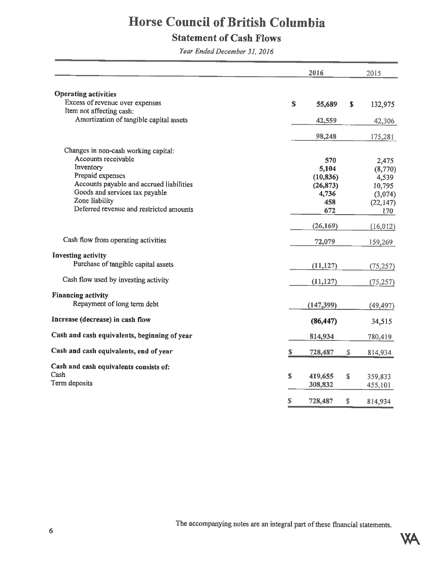## **Statement of Cash Flows**

Year Ended December 31, 2016

|                                                                  |    | 2016       | 2015          |
|------------------------------------------------------------------|----|------------|---------------|
| <b>Operating activities</b>                                      |    |            |               |
| Excess of revenue over expenses                                  | S  | 55,689     | \$<br>132,975 |
| Item not affecting cash:                                         |    |            |               |
| Amortization of tangible capital assets                          |    | 42,559     | 42,306        |
|                                                                  |    | 98,248     | 175,281       |
| Changes in non-cash working capital:                             |    |            |               |
| Accounts receivable                                              |    | 570        | 2,475         |
| Inventory                                                        |    | 5,104      | (8,770)       |
| Prepaid expenses                                                 |    | (10, 836)  | 4,539         |
| Accounts payable and accrued liabilities                         |    | (26, 873)  | 10,795        |
| Goods and services tax payable                                   |    | 4,736      | (3,074)       |
| Zone liability                                                   |    | 458        | (22, 147)     |
| Deferred revenue and restricted amounts                          |    | 672        | 170           |
|                                                                  |    | (26, 169)  | (16, 012)     |
| Cash flow from operating activities                              |    | 72,079     | 159,269       |
| <b>Investing activity</b><br>Purchase of tangible capital assets |    | (11, 127)  | (75, 257)     |
| Cash flow used by investing activity                             |    | (11, 127)  | (75, 257)     |
| <b>Financing activity</b><br>Repayment of long term debt         |    | (147, 399) | (49, 497)     |
|                                                                  |    |            |               |
| Increase (decrease) in cash flow                                 |    | (86, 447)  | 34,515        |
| Cash and cash equivalents, beginning of year                     |    | 814,934    | 780,419       |
| Cash and cash equivalents, end of year                           | S  | 728,487    | \$<br>814,934 |
| Cash and cash equivalents consists of:                           |    |            |               |
| Cash                                                             | \$ | 419,655    | \$<br>359,833 |
| Term deposits                                                    |    | 308,832    | 455,101       |
|                                                                  | \$ | 728,487    | \$<br>814,934 |

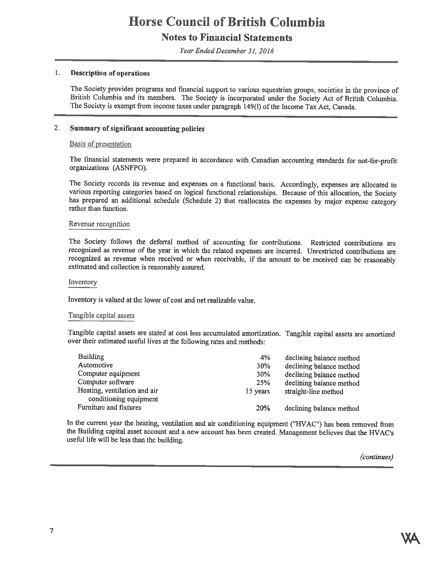## **Notes to Financial Statements**

Year Ended December 31, 2016

#### $1.$ **Description of operations**

The Society provides programs and financial support to various equestrian groups, societies in the province of British Columbia and its members. The Society is incorporated under the Society Act of British Columbia. The Society is exempt from income taxes under paragraph 149(1) of the Income Tax Act, Canada.

#### $2.$ Summary of significant accounting policies

### **Basis of presentation**

The financial statements were prepared in accordance with Canadian accounting standards for not-for-profit organizations (ASNFPO).

The Society records its revenue and expenses on a functional basis. Accordingly, expenses are allocated to various reporting categories based on logical functional relationships. Because of this allocation, the Society has prepared an additional schedule (Schedule 2) that reallocates the expenses by major expense category rather than function.

### Revenue recognition

The Society follows the deferral method of accounting for contributions. Restricted contributions are recognized as revenue of the year in which the related expenses are incurred. Unrestricted contributions are recognized as revenue when received or when receivable, if the amount to be received can be reasonably estimated and collection is reasonably assured.

### Inventory

Inventory is valued at the lower of cost and net realizable value.

### Tangible capital assets

Tangible capital assets are stated at cost less accumulated amortization. Tangible capital assets are amortized over their estimated useful lives at the following rates and methods:

| Building                                               | 4%       | declining balance method |
|--------------------------------------------------------|----------|--------------------------|
| Automotive                                             | 30%      | declining balance method |
| Computer equipment                                     | 30%      | declining balance method |
| Computer software                                      | 25%      | declining balance method |
| Heating, ventilation and air<br>conditioning equipment | 15 years | straight-line method     |
| Furniture and fixtures                                 | 20%      | declining balance method |

In the current year the heating, ventilation and air conditioning equipment ("HVAC") has been removed from the Building capital asset account and a new account has been created. Management believes that the HVAC's useful life will be less than the building.

(continues)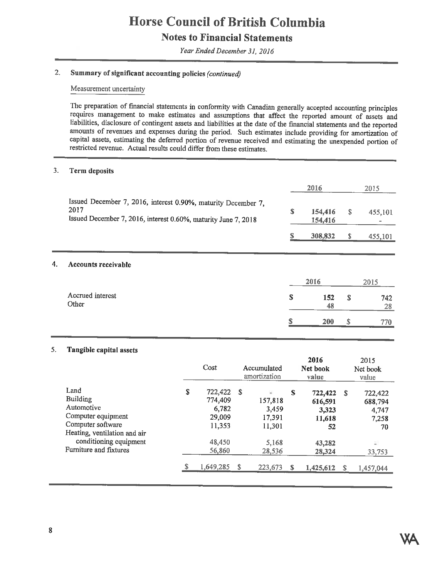## **Notes to Financial Statements**

Year Ended December 31, 2016

#### $2.$ Summary of significant accounting policies (continued)

### Measurement uncertainty

The preparation of financial statements in conformity with Canadian generally accepted accounting principles requires management to make estimates and assumptions that affect the reported amount of assets and liabilities, disclosure of contingent assets and liabilities at the date of the financial statements and the reported amounts of revenues and expenses during the period. Such estimates include providing for amortization of capital assets, estimating the deferred portion of revenue received and estimating the unexpended portion of restricted revenue. Actual results could differ from these estimates.

#### $3.$ **Term deposits**

 $4.$ 

|                                                                                                                                         |    | 2016               | 2015            |
|-----------------------------------------------------------------------------------------------------------------------------------------|----|--------------------|-----------------|
| Issued December 7, 2016, interest 0.90%, maturity December 7,<br>2017<br>Issued December 7, 2016, interest 0.60%, maturity June 7, 2018 | \$ | 154,416<br>154,416 | \$<br>455,101   |
|                                                                                                                                         |    | 308,832            | \$<br>455,101   |
| Accounts receivable                                                                                                                     |    |                    |                 |
|                                                                                                                                         |    | 2016               | 2015            |
| Accrued interest<br>Other                                                                                                               | \$ | 152<br>48          | \$<br>742<br>28 |
|                                                                                                                                         | S  | 200                | \$<br>770       |

#### $5.$ Tangible capital assets

|                              |    | Cost      |    | Accumulated<br>amortization |   | 2016<br>Net book<br>value |      | 2015<br>Net book<br>value |
|------------------------------|----|-----------|----|-----------------------------|---|---------------------------|------|---------------------------|
| Land                         | \$ | 722,422   | -S | ¥                           | S | 722,422                   | - \$ | 722,422                   |
| <b>Building</b>              |    | 774,409   |    | 157,818                     |   | 616,591                   |      | 688,794                   |
| Automotive                   |    | 6,782     |    | 3,459                       |   | 3,323                     |      | 4,747                     |
| Computer equipment           |    | 29,009    |    | 17,391                      |   | 11,618                    |      | 7,258                     |
| Computer software            |    | 11,353    |    | 11,301                      |   | 52                        |      | 70                        |
| Heating, ventilation and air |    |           |    |                             |   |                           |      |                           |
| conditioning equipment       |    | 48,450    |    | 5,168                       |   | 43,282                    |      | F                         |
| Furniture and fixtures       |    | 56,860    |    | 28,536                      |   | 28,324                    |      | 33,753                    |
|                              | S  | 1,649,285 | \$ | 223,673                     | S | 1,425,612                 | S    | 1,457,044                 |
|                              |    |           |    |                             |   |                           |      |                           |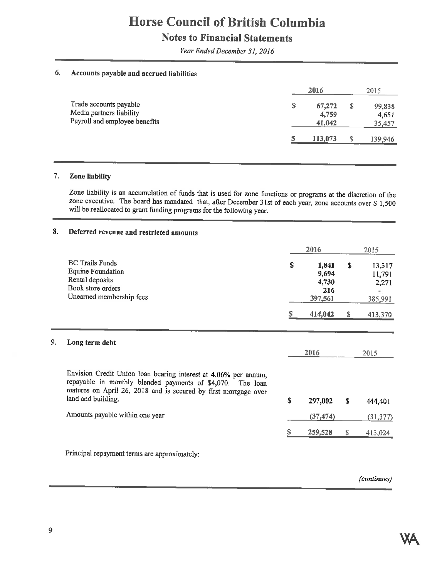## **Notes to Financial Statements**

Year Ended December 31, 2016

#### 6. Accounts payable and accrued liabilities

|                                                                                     |   | 2016                      |   | 2015                      |
|-------------------------------------------------------------------------------------|---|---------------------------|---|---------------------------|
| Trade accounts payable<br>Media partners liability<br>Payroll and employee benefits | S | 67,272<br>4,759<br>41,042 |   | 99,838<br>4,651<br>35,457 |
|                                                                                     |   | 113,073                   | S | 139,946                   |

#### 7. Zone liability

Zone liability is an accumulation of funds that is used for zone functions or programs at the discretion of the zone executive. The board has mandated that, after December 31st of each year, zone accounts over \$1,500 will be reallocated to grant funding programs for the following year.

#### Deferred revenue and restricted amounts 8.

|                                                                                                                                                                                                  |   | 2016                                      |    | 2015                                 |
|--------------------------------------------------------------------------------------------------------------------------------------------------------------------------------------------------|---|-------------------------------------------|----|--------------------------------------|
| <b>BC</b> Trails Funds<br><b>Equine Foundation</b><br>Rental deposits<br>Book store orders<br>Unearned membership fees                                                                           | S | 1,841<br>9,694<br>4.730<br>216<br>397,561 | S  | 13,317<br>11,791<br>2,271<br>385,991 |
|                                                                                                                                                                                                  | S | 414,042                                   | \$ | 413,370                              |
| Long term debt                                                                                                                                                                                   |   |                                           |    |                                      |
|                                                                                                                                                                                                  |   | 2016                                      |    | 2015                                 |
| Envision Credit Union loan bearing interest at 4.06% per annum,<br>repayable in monthly blended payments of \$4,070. The loan<br>matures on April 26, 2018 and is secured by first mortgage over |   |                                           |    |                                      |
| land and building.                                                                                                                                                                               | S | 297,002                                   | S  | 444,401                              |
| Amounts payable within one year                                                                                                                                                                  |   | (37, 474)                                 |    | (31, 377)                            |
|                                                                                                                                                                                                  | S | 259,528                                   | \$ | 413,024                              |
| Principal repayment terms are approximately:                                                                                                                                                     |   |                                           |    |                                      |

(continues)

 $9<sub>1</sub>$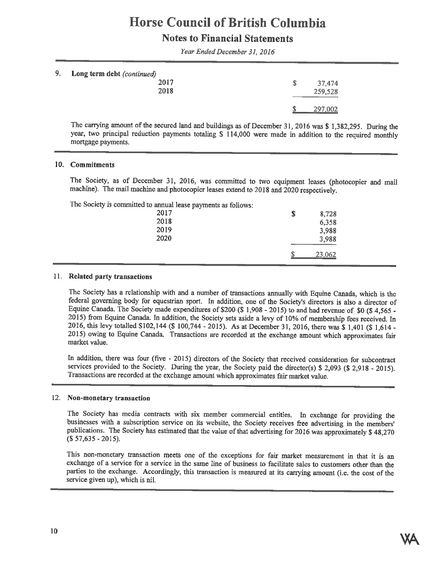## **Notes to Financial Statements**

Year Ended December 31, 2016

| 9. | Long term debt (continued) |                        |
|----|----------------------------|------------------------|
|    | 2017<br>2018               | 37,474<br>S<br>259,528 |
|    |                            | 297,002                |

The carrying amount of the secured land and buildings as of December 31, 2016 was \$1,382,295. During the year, two principal reduction payments totaling \$ 114,000 were made in addition to the required monthly mortgage payments.

### 10. Commitments

The Society, as of December 31, 2016, was committed to two equipment leases (photocopier and mail machine). The mail machine and photocopier leases extend to 2018 and 2020 respectively.

The Society is committed to annual lease payments as follows:

| $\sim$<br>. .<br>2017<br>2018<br>2019<br>2020 | 8,728<br>S<br>6,358<br>3,988<br>3,988 |
|-----------------------------------------------|---------------------------------------|
|                                               | 23,062                                |

## 11. Related party transactions

The Society has a relationship with and a number of transactions annually with Equine Canada, which is the federal governing body for equestrian sport. In addition, one of the Society's directors is also a director of Equine Canada. The Society made expenditures of \$200 (\$ 1,908 - 2015) to and had revenue of \$0 (\$ 4,565 -2015) from Equine Canada. In addition, the Society sets aside a levy of 10% of membership fees received. In 2016, this levy totalled \$102,144 (\$ 100,744 - 2015). As at December 31, 2016, there was \$ 1,401 (\$ 1,614 -2015) owing to Equine Canada. Transactions are recorded at the exchange amount which approximates fair market value.

In addition, there was four (five - 2015) directors of the Society that received consideration for subcontract services provided to the Society. During the year, the Society paid the director(s) \$ 2,093 (\$ 2,918 - 2015). Transactions are recorded at the exchange amount which approximates fair market value.

### 12. Non-monetary transaction

The Society has media contracts with six member commercial entities. In exchange for providing the businesses with a subscription service on its website, the Society receives free advertising in the members' publications. The Society has estimated that the value of that advertising for 2016 was approximately \$48,270  $(S 57, 635 - 2015)$ .

This non-monetary transaction meets one of the exceptions for fair market measurement in that it is an exchange of a service for a service in the same line of business to facilitate sales to customers other than the parties to the exchange. Accordingly, this transaction is measured at its carrying amount (i.e. the cost of the service given up), which is nil.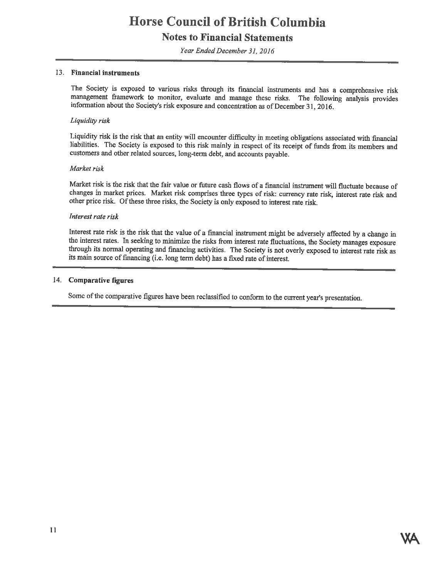## **Notes to Financial Statements**

Year Ended December 31, 2016

### 13. Financial instruments

The Society is exposed to various risks through its financial instruments and has a comprehensive risk management framework to monitor, evaluate and manage these risks. The following analysis provides information about the Society's risk exposure and concentration as of December 31, 2016.

### Liquidity risk

Liquidity risk is the risk that an entity will encounter difficulty in meeting obligations associated with financial liabilities. The Society is exposed to this risk mainly in respect of its receipt of funds from its members and customers and other related sources, long-term debt, and accounts payable.

### Market risk

Market risk is the risk that the fair value or future cash flows of a financial instrument will fluctuate because of changes in market prices. Market risk comprises three types of risk: currency rate risk, interest rate risk and other price risk. Of these three risks, the Society is only exposed to interest rate risk.

### Interest rate risk

Interest rate risk is the risk that the value of a financial instrument might be adversely affected by a change in the interest rates. In seeking to minimize the risks from interest rate fluctuations, the Society manages exposure through its normal operating and financing activities. The Society is not overly exposed to interest rate risk as its main source of financing (i.e. long term debt) has a fixed rate of interest.

## 14. Comparative figures

Some of the comparative figures have been reclassified to conform to the current year's presentation.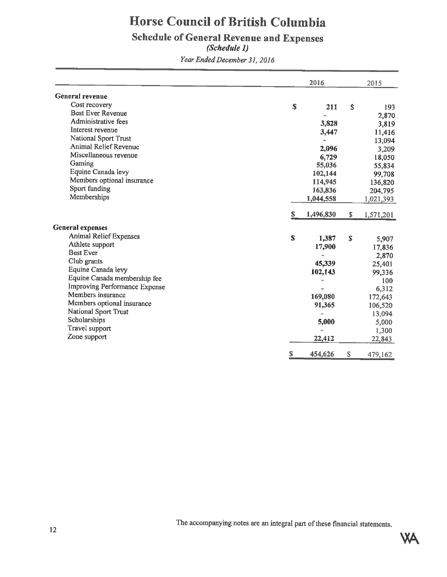# **Schedule of General Revenue and Expenses**

## (Schedule 1)

Year Ended December 31, 2016

|                                      |    | 2016      |             | 2015      |
|--------------------------------------|----|-----------|-------------|-----------|
| <b>General revenue</b>               |    |           |             |           |
| Cost recovery                        | \$ | 211       | \$          | 193       |
| <b>Best Ever Revenue</b>             |    |           |             | 2,870     |
| Administrative fees                  |    | 3,828     |             | 3,819     |
| Interest revenue                     |    | 3,447     |             | 11,416    |
| National Sport Trust                 |    |           |             | 13,094    |
| Animal Relief Revenue                |    | 2,096     |             | 3,209     |
| Miscellaneous revenue                |    | 6,729     |             | 18,050    |
| Gaming                               |    | 55,036    |             | 55,834    |
| Equine Canada levy                   |    | 102,144   |             | 99,708    |
| Members optional insurance           |    | 114,945   |             | 136,820   |
| <b>Sport funding</b>                 |    | 163,836   |             | 204,795   |
| Memberships                          |    | 1,044,558 |             | 1,021,393 |
|                                      | S. | 1,496,830 | \$          | 1,571,201 |
| <b>General expenses</b>              |    |           |             |           |
| Animal Relief Expenses               | \$ | 1,387     | $\mathbf S$ | 5,907     |
| Athlete support                      |    | 17,900    |             | 17,836    |
| <b>Best Ever</b>                     |    |           |             | 2,870     |
| Club grants                          |    | 45,339    |             | 25,401    |
| Equine Canada levy                   |    | 102,143   |             | 99,336    |
| Equine Canada membership fee         |    |           |             | 100       |
| <b>Improving Performance Expense</b> |    |           |             | 6,312     |
| Members insurance                    |    | 169,080   |             | 172,643   |
| Members optional insurance           |    | 91,365    |             | 106,520   |
| National Sport Trust                 |    |           |             | 13,094    |
| Scholarships                         |    | 5,000     |             | 5,000     |
| Travel support                       |    |           |             | 1,300     |
| Zone support                         |    | 22,412    |             | 22,843    |
|                                      | \$ | 454,626   | \$          | 479,162   |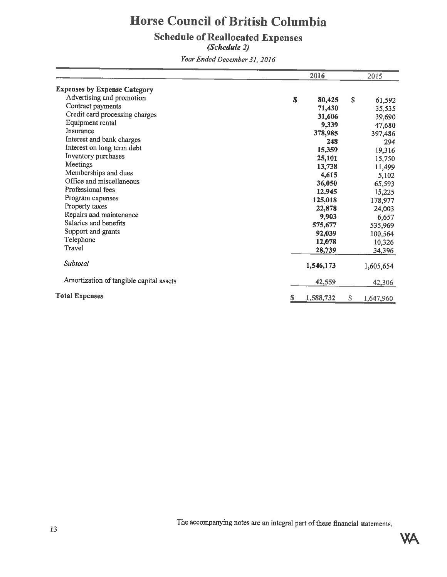# **Schedule of Reallocated Expenses**<br>(Schedule 2)

Year Ended December 31, 2016

|                                         |   | 2016      |    | 2015      |  |
|-----------------------------------------|---|-----------|----|-----------|--|
| <b>Expenses by Expense Category</b>     |   |           |    |           |  |
| Advertising and promotion               | S | 80,425    | \$ | 61,592    |  |
| Contract payments                       |   | 71,430    |    | 35,535    |  |
| Credit card processing charges          |   | 31,606    |    | 39,690    |  |
| Equipment rental                        |   | 9,339     |    | 47,680    |  |
| Insurance                               |   | 378,985   |    | 397,486   |  |
| Interest and bank charges               |   | 248       |    | 294       |  |
| Interest on long term debt              |   | 15,359    |    | 19,316    |  |
| Inventory purchases                     |   | 25,101    |    | 15,750    |  |
| Meetings                                |   | 13,738    |    | 11,499    |  |
| Memberships and dues                    |   | 4,615     |    | 5,102     |  |
| Office and miscellaneous                |   | 36,050    |    | 65,593    |  |
| Professional fees                       |   | 12,945    |    | 15,225    |  |
| Program expenses                        |   | 125,018   |    | 178,977   |  |
| Property taxes                          |   | 22,878    |    | 24,003    |  |
| Repairs and maintenance                 |   | 9,903     |    | 6,657     |  |
| Salaries and benefits                   |   | 575,677   |    | 535,969   |  |
| Support and grants                      |   | 92,039    |    | 100,564   |  |
| Telephone                               |   | 12,078    |    | 10,326    |  |
| Travel                                  |   | 28,739    |    | 34,396    |  |
| Subtotal                                |   | 1,546,173 |    | 1,605,654 |  |
| Amortization of tangible capital assets |   | 42,559    |    | 42,306    |  |
| <b>Total Expenses</b>                   | S | 1,588,732 | \$ | 1,647,960 |  |